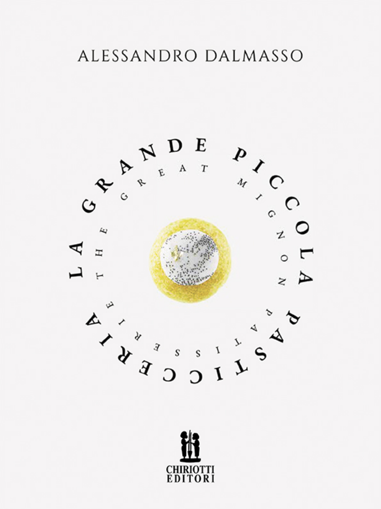# ALESSANDRO DALMASSO



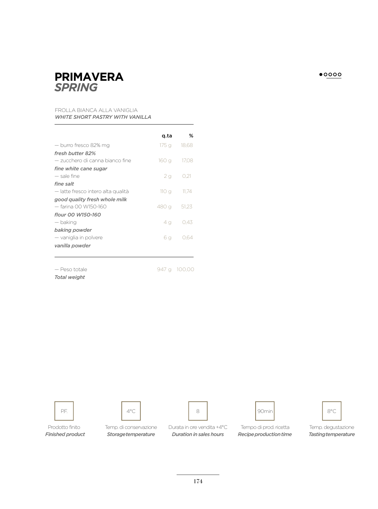

### FROLLA BIANCA ALLA VANIGLIA  *WHITE SHORT PASTRY WITH VANILLA*

|                                    | a ta  | ℅     |
|------------------------------------|-------|-------|
| — burro fresco 82% mg              | 175 g | 18.68 |
| fresh butter 82%                   |       |       |
| — zucchero di canna bianco fine    | 160 g | 17.08 |
| fine white cane sugar              |       |       |
| - sale fine                        | 2g    | 0.21  |
| fine salt                          |       |       |
| - latte fresco intero alta qualità | 110g  | 11.74 |
| good quality fresh whole milk      |       |       |
| — farina 00 W150-160               | 480 a | 51.23 |
| flour 00 W150-160                  |       |       |
| — baking                           | 4 a   | 0.43  |
| baking powder                      |       |       |
| — vaniglia in polvere              | 6 g   | 0.64  |
| vanilla powder                     |       |       |
|                                    |       |       |
|                                    |       |       |

— Peso totale

947 g 100,00

 *Total weight*







Prodotto finito Temp. di conservazione Durata in ore vendita +4°C Tempo di prod. ricetta Temp. degustazione *Finished product Storage temperature Duration in sales hours Recipe production time Tasting temperature*

 $\bullet$ 0000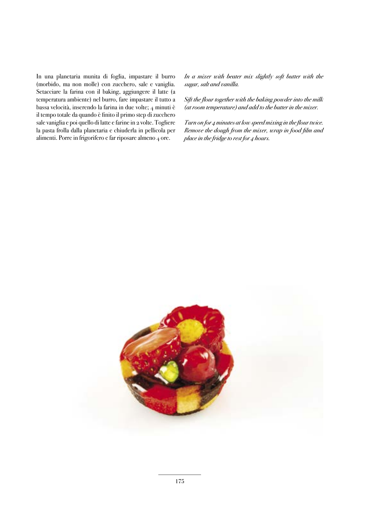In una planetaria munita di foglia, impastare il burro (morbido, ma non molle) con zucchero, sale e vaniglia. Setacciare la farina con il baking, aggiungere il latte (a temperatura ambiente) nel burro, fare impastare il tutto a bassa velocità, inserendo la farina in due volte; 4 minuti è il tempo totale da quando è finito il primo step di zucchero sale vaniglia e poi quello di latte e farine in 2 volte. Togliere la pasta frolla dalla planetaria e chiuderla in pellicola per alimenti. Porre in frigorifero e far riposare almeno 4 ore.

 *In a mixer with beater mix slightly soft butter with the sugar, salt and vanilla.* 

Sift the flour together with the baking powder into the milk *(at room temperature) and add to the butter in the mixer.* 

*Turn on for 4 minutes at low speed mixing in the flour twice. Remove the dough from the mixer, wrap in food film and place in the fridge to rest for 4 hours.* 

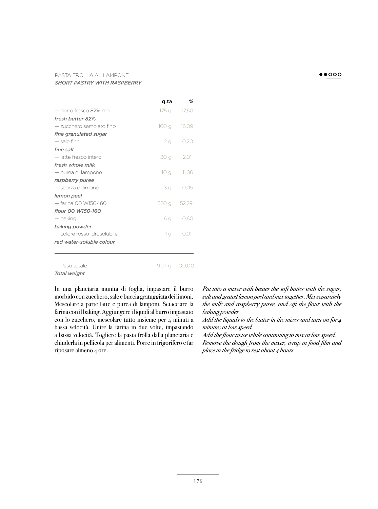## PASTA FROLLA AL LAMPONE  *SHORT PASTRY WITH RASPBERRY*

|                             | g ta  | ℅           |
|-----------------------------|-------|-------------|
| - burro fresco 82% mg       | 175 g | 17,60       |
| fresh butter 82%            |       |             |
| — zucchero semolato fino    | 160 g | 16,09       |
| fine granulated sugar       |       |             |
| $-$ sale fine               | 2g    | 0.20        |
| fine salt                   |       |             |
| — latte fresco intero       | 20 g  | 2.01        |
| fresh whole milk            |       |             |
| — purea di lampone          | 110 g | 11.06       |
| raspberry puree             |       |             |
| — scorza di limone          | 3 g   | 0.05        |
| lemon peel                  |       |             |
| - farina 00 W150-160        |       | 520 g 52,29 |
| flour 00 W150-160           |       |             |
| — baking                    | 6 g   | 0.60        |
| baking powder               |       |             |
| — colore rosso idrosolubile | 1 g   | ()()        |
| red water-soluble colour    |       |             |
|                             |       |             |

 $\bullet\bullet$ 000

#### — Peso totale  *Total weight*

 In una planetaria munita di foglia, impastare il burro morbido con zucchero, sale e buccia gratuggiata dei limoni. Mescolare a parte latte e purea di lamponi. Setacciare la farina con il baking. Aggiungere i liquidi al burro impastato con lo zucchero, mescolare tutto insieme per 4 minuti a bassa velocità. Unire la farina in due volte, impastando a bassa velocità. Togliere la pasta frolla dalla planetaria e chiuderla in pellicola per alimenti. Porre in frigorifero e far riposare almeno 4 ore.

997 g 100,00

 *Put into a mixer with beater the soft butter with the sugar, salt and grated lemon peel and mix together. Mix separately the milk and raspberry puree, and sift the flour with the baking powder.*

*Add the liquids to the butter in the mixer and turn on for 4 minutes at low speed.* 

Add the flour twice while continuing to mix at low speed. *Remove the dough from the mixer, wrap in food film and place in the fridge to rest about 4 hours.*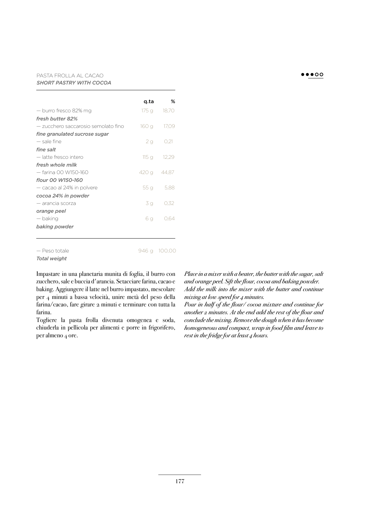#### PASTA FROLLA AL CACAO  *SHORT PASTRY WITH COCOA*

|                                     | q.ta        | ℅              |
|-------------------------------------|-------------|----------------|
| — burro fresco 82% mg               |             | 175 g 18,70    |
| fresh butter 82%                    |             |                |
| — zucchero saccarosio semolato fino | 160 g       | 17.09          |
| fine granulated sucrose sugar       |             |                |
| — sale fine                         |             | $2g$ 0,21      |
| fine salt                           |             |                |
| — latte fresco intero               |             | $115q$ $12.29$ |
| fresh whole milk                    |             |                |
| — farina 00 W150-160                | 420 g 44,87 |                |
| flour 00 W150-160                   |             |                |
| — cacao al 24% in polvere           | 55 g        | 5.88           |
| cocoa 24% in powder                 |             |                |
| — arancia scorza                    | 3 g         | 0.32           |
| orange peel                         |             |                |
| — baking                            | 6 g         | 0.64           |
| baking powder                       |             |                |
|                                     |             |                |
|                                     |             |                |

— Peso totale

946 g 100,00

 *Total weight*

 Impastare in una planetaria munita di foglia, il burro con zucchero, sale e buccia d'arancia. Setacciare farina, cacao e baking. Aggiungere il latte nel burro impastato, mescolare per 4 minuti a bassa velocità, unire metà del peso della farina/cacao, fare girare 2 minuti e terminare con tutta la farina.

 Togliere la pasta frolla divenuta omogenea e soda, chiuderla in pellicola per alimenti e porre in frigorifero, per almeno 4 ore.

 *Place in a mixer with a beater, the butter with the sugar, salt*  and orange peel. Sift the flour, cocoa and baking powder.  *Add the milk into the mixer with the butter and continue mixing at low speed for 4 minutes.*

Pour in half of the flour/ cocoa mixture and continue for *another 2 minutes. At the end add the rest of the flour and conclude the mixing. Remove the dough when it has become homogeneous and compact, wrap in food fi lm and leave to rest in the fridge for at least 4 hours.* 

### $\bullet\bullet\bullet\circ\circ$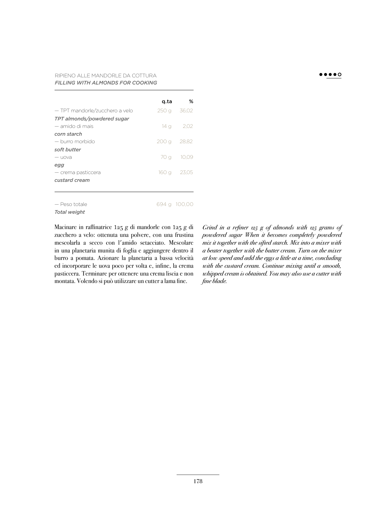#### RIPIENO ALLE MANDORLE DA COTTURA  *FILLING WITH ALMONDS FOR COOKING*

|                                | g.ta | %            |
|--------------------------------|------|--------------|
| - TPT mandorle/zucchero a velo |      | 250 g 36.02  |
| TPT almonds/powdered sugar     |      |              |
| — amido di mais                |      | $14q$ 2,02   |
| corn starch                    |      |              |
| — burro morbido                |      | 200 g 28.82  |
| soft butter                    |      |              |
| $-$ uova                       | 70 g | 10,09        |
| egg                            |      |              |
| $-$ crema pasticcera           |      | 160 g 23,05  |
| custard cream                  |      |              |
|                                |      |              |
|                                |      |              |
| - Peso totale                  |      | 694 g 100,00 |

— Peso totale

 *Total weight*

Macinare in raffinatrice 125 g di mandorle con 125 g di zucchero a velo: ottenuta una polvere, con una frustina mescolarla a secco con l'amido setacciato. Mescolare in una planetaria munita di foglia e aggiungere dentro il burro a pomata. Azionare la planetaria a bassa velocità ed incorporare le uova poco per volta e, infine, la crema pasticcera. Terminare per ottenere una crema liscia e non montata. Volendo si può utilizzare un cutter a lama fine.

*Grind in a refiner 125 g of almonds with 125 grams of powdered sugar When it becomes completely powdered mix it together with the sifted starch. Mix into a mixer with a beater together with the butter cream. Turn on the mixer at low speed and add the eggs a little at a time, concluding with the custard cream. Continue mixing until a smooth, whipped cream is obtained. You may also use a cutter with*   $f$ *ine blade.*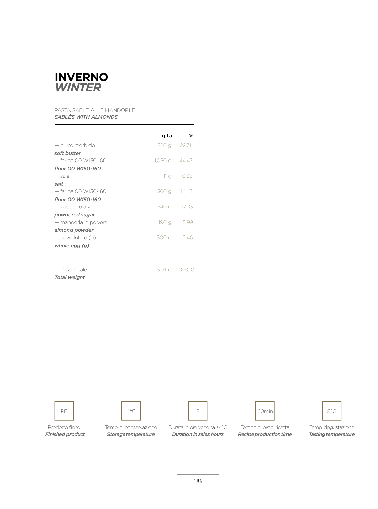

## PASTA SABLÈ ALLE MANDORLE  *SABLÈS WITH ALMONDS*

| ℅<br>q.ta               |
|-------------------------|
| 720 g 22,71             |
|                         |
| $1,050$ q $44,47$       |
|                         |
| 11 <sub>q</sub><br>0.35 |
|                         |
| 360 g 44,47             |
|                         |
| 540 g<br>17.03          |
|                         |
| 190 g<br>5.99           |
|                         |
| 300 g<br>9.46           |
|                         |
|                         |
|                         |
|                         |

 — Peso totale  *Total weight*

3171 g 100,00









Prodotto finito Temp. di conservazione Durata in ore vendita +4°C Tempo di prod. ricetta Temp. degustazione *Finished product Storage temperature Recipe production time Tasting temperature Duration in sales hours*





186